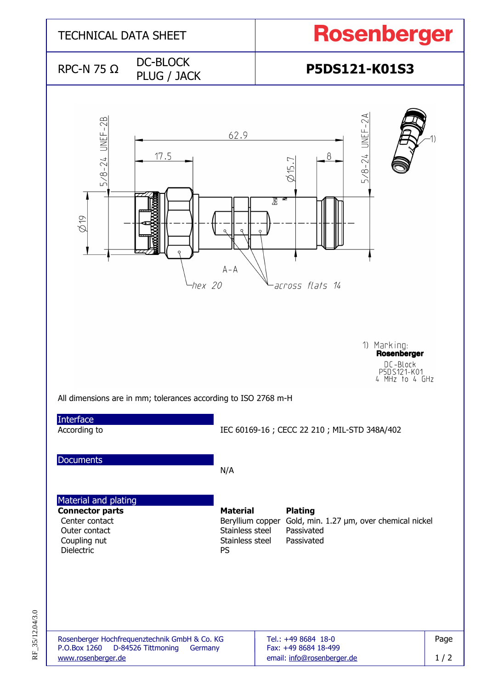

RF\_35/12.04/3.0 RF\_35/12.04/3.0